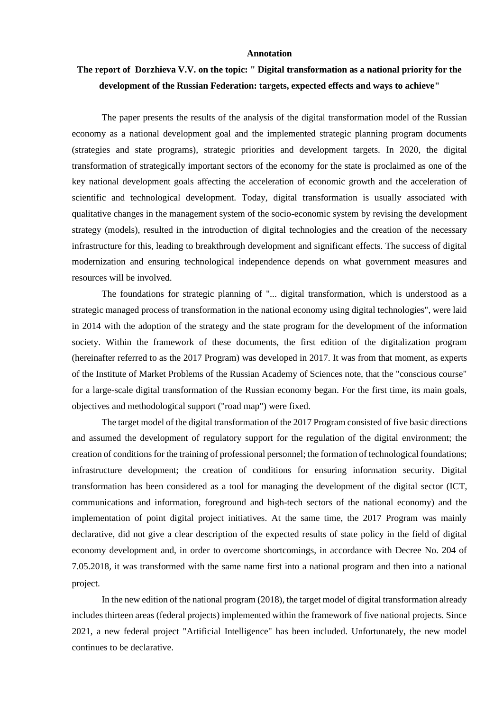## **Annotation**

## **The report of Dorzhieva V.V. on the topic: " Digital transformation as a national priority for the development of the Russian Federation: targets, expected effects and ways to achieve"**

The paper presents the results of the analysis of the digital transformation model of the Russian economy as a national development goal and the implemented strategic planning program documents (strategies and state programs), strategic priorities and development targets. In 2020, the digital transformation of strategically important sectors of the economy for the state is proclaimed as one of the key national development goals affecting the acceleration of economic growth and the acceleration of scientific and technological development. Today, digital transformation is usually associated with qualitative changes in the management system of the socio-economic system by revising the development strategy (models), resulted in the introduction of digital technologies and the creation of the necessary infrastructure for this, leading to breakthrough development and significant effects. The success of digital modernization and ensuring technological independence depends on what government measures and resources will be involved.

The foundations for strategic planning of "... digital transformation, which is understood as a strategic managed process of transformation in the national economy using digital technologies", were laid in 2014 with the adoption of the strategy and the state program for the development of the information society. Within the framework of these documents, the first edition of the digitalization program (hereinafter referred to as the 2017 Program) was developed in 2017. It was from that moment, as experts of the Institute of Market Problems of the Russian Academy of Sciences note, that the "conscious course" for a large-scale digital transformation of the Russian economy began. For the first time, its main goals, objectives and methodological support ("road map") were fixed.

The target model of the digital transformation of the 2017 Program consisted of five basic directions and assumed the development of regulatory support for the regulation of the digital environment; the creation of conditions for the training of professional personnel; the formation of technological foundations; infrastructure development; the creation of conditions for ensuring information security. Digital transformation has been considered as a tool for managing the development of the digital sector (ICT, communications and information, foreground and high-tech sectors of the national economy) and the implementation of point digital project initiatives. At the same time, the 2017 Program was mainly declarative, did not give a clear description of the expected results of state policy in the field of digital economy development and, in order to overcome shortcomings, in accordance with Decree No. 204 of 7.05.2018, it was transformed with the same name first into a national program and then into a national project.

In the new edition of the national program (2018), the target model of digital transformation already includes thirteen areas (federal projects) implemented within the framework of five national projects. Since 2021, a new federal project "Artificial Intelligence" has been included. Unfortunately, the new model continues to be declarative.